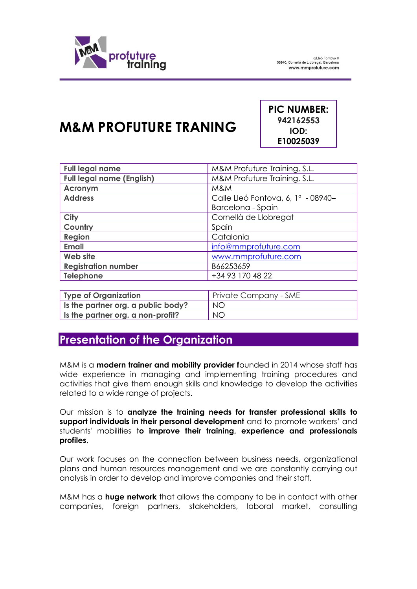

## **M&M PROFUTURE TRANING**

**PIC NUMBER: 942162553 IOD: E10025039**

| <b>Full legal name</b>           | M&M Profuture Training, S.L.       |
|----------------------------------|------------------------------------|
| <b>Full legal name (English)</b> | M&M Profuture Training, S.L.       |
| <b>Acronym</b>                   | M&M                                |
| <b>Address</b>                   | Calle Lleó Fontova, 6, 1º - 08940- |
|                                  | Barcelona - Spain                  |
| <b>City</b>                      | Cornellà de Llobregat              |
| Country                          | Spain                              |
| Region                           | Catalonia                          |
| <b>Email</b>                     | info@mmprofuture.com               |
| Web site                         | www.mmprofuture.com                |
| <b>Registration number</b>       | B66253659                          |
| Telephone                        | +34 93 170 48 22                   |

| Type of Organization               | Private Company - SME |
|------------------------------------|-----------------------|
| Is the partner org. a public body? | NO.                   |
| Is the partner org. a non-profit?  | NO.                   |

## **Presentation of the Organization**

M&M is a **modern trainer and mobility provider f**ounded in 2014 whose staff has wide experience in managing and implementing training procedures and activities that give them enough skills and knowledge to develop the activities related to a wide range of projects.

Our mission is to **analyze the training needs for transfer professional skills to support individuals in their personal development** and to promote workers' and students' mobilities t**o improve their training, experience and professionals profiles**.

Our work focuses on the connection between business needs, organizational plans and human resources management and we are constantly carrying out analysis in order to develop and improve companies and their staff.

M&M has a **huge network** that allows the company to be in contact with other companies, foreign partners, stakeholders, laboral market, consulting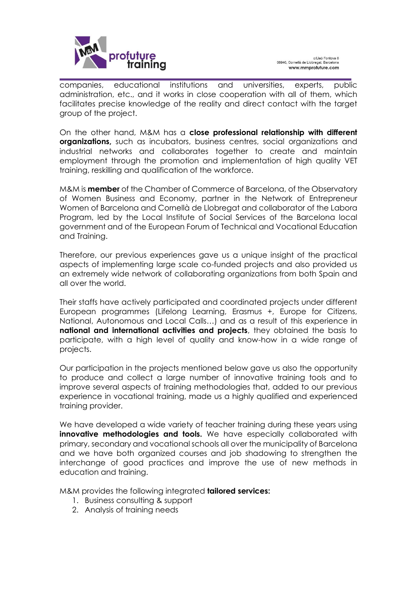

companies, educational institutions and universities, experts, public administration, etc., and it works in close cooperation with all of them, which facilitates precise knowledge of the reality and direct contact with the target group of the project.

On the other hand, M&M has a **close professional relationship with different organizations,** such as incubators, business centres, social organizations and industrial networks and collaborates together to create and maintain employment through the promotion and implementation of high quality VET training, reskilling and qualification of the workforce.

M&M is **member** of the Chamber of Commerce of Barcelona, of the Observatory of Women Business and Economy, partner in the Network of Entrepreneur Women of Barcelona and Cornellà de Llobregat and collaborator of the Labora Program, led by the Local Institute of Social Services of the Barcelona local government and of the European Forum of Technical and Vocational Education and Training.

Therefore, our previous experiences gave us a unique insight of the practical aspects of implementing large scale co-funded projects and also provided us an extremely wide network of collaborating organizations from both Spain and all over the world.

Their staffs have actively participated and coordinated projects under different European programmes (Lifelong Learning, Erasmus +, Europe for Citizens, National, Autonomous and Local Calls…) and as a result of this experience in **national and international activities and projects**, they obtained the basis to participate, with a high level of quality and know-how in a wide range of projects.

Our participation in the projects mentioned below gave us also the opportunity to produce and collect a large number of innovative training tools and to improve several aspects of training methodologies that, added to our previous experience in vocational training, made us a highly qualified and experienced training provider.

We have developed a wide variety of teacher training during these years using **innovative methodologies and tools.** We have especially collaborated with primary, secondary and vocational schools all over the municipality of Barcelona and we have both organized courses and job shadowing to strengthen the interchange of good practices and improve the use of new methods in education and training.

M&M provides the following integrated **tailored services:**

- 1. Business consulting & support
- 2. Analysis of training needs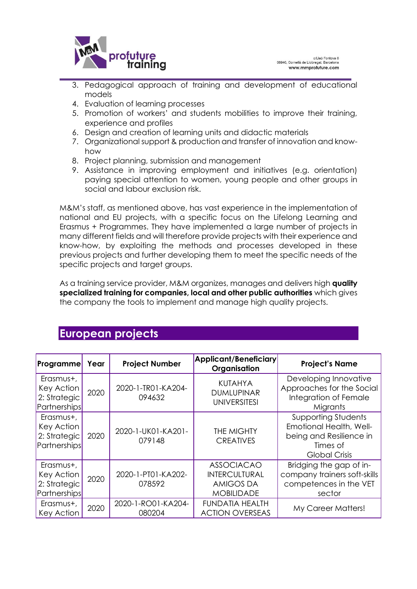

- 3. Pedagogical approach of training and development of educational models
- 4. Evaluation of learning processes
- 5. Promotion of workers' and students mobilities to improve their training, experience and profiles
- 6. Design and creation of learning units and didactic materials
- 7. Organizational support & production and transfer of innovation and knowhow
- 8. Project planning, submission and management
- 9. Assistance in improving employment and initiatives (e.g. orientation) paying special attention to women, young people and other groups in social and labour exclusion risk.

M&M's staff, as mentioned above, has vast experience in the implementation of national and EU projects, with a specific focus on the Lifelong Learning and Erasmus + Programmes. They have implemented a large number of projects in many different fields and will therefore provide projects with their experience and know-how, by exploiting the methods and processes developed in these previous projects and further developing them to meet the specific needs of the specific projects and target groups.

As a training service provider, M&M organizes, manages and delivers high **quality specialized training for companies, local and other public authorities** which gives the company the tools to implement and manage high quality projects.

## **European projects**

| <b>Programme</b>                                        | Year | <b>Project Number</b>        | Applicant/Beneficiary<br>Organisation                                       | <b>Project's Name</b>                                                                                                |
|---------------------------------------------------------|------|------------------------------|-----------------------------------------------------------------------------|----------------------------------------------------------------------------------------------------------------------|
| Erasmus+,<br>Key Action<br>2: Strategic<br>Partnerships | 2020 | 2020-1-TRO1-KA204-<br>094632 | <b>KUTAHYA</b><br><b>DUMLUPINAR</b><br><b>UNIVERSITESI</b>                  | Developing Innovative<br>Approaches for the Social<br>Integration of Female<br>Migrants                              |
| Erasmus+,<br>Key Action<br>2: Strategic<br>Partnerships | 2020 | 2020-1-UK01-KA201-<br>079148 | <b>THE MIGHTY</b><br><b>CREATIVES</b>                                       | <b>Supporting Students</b><br>Emotional Health, Well-<br>being and Resilience in<br>Times of<br><b>Global Crisis</b> |
| Erasmus+,<br>Key Action<br>2: Strategic<br>Partnerships | 2020 | 2020-1-PT01-KA202-<br>078592 | <b>ASSOCIACAO</b><br>INTERCULTURAL<br><b>AMIGOS DA</b><br><b>MOBILIDADE</b> | Bridging the gap of in-<br>company trainers soft-skills<br>competences in the VET<br>sector                          |
| Erasmus+,<br>Key Action                                 | 2020 | 2020-1-RO01-KA204-<br>080204 | <b>FUNDATIA HEALTH</b><br><b>ACTION OVERSEAS</b>                            | My Career Matters!                                                                                                   |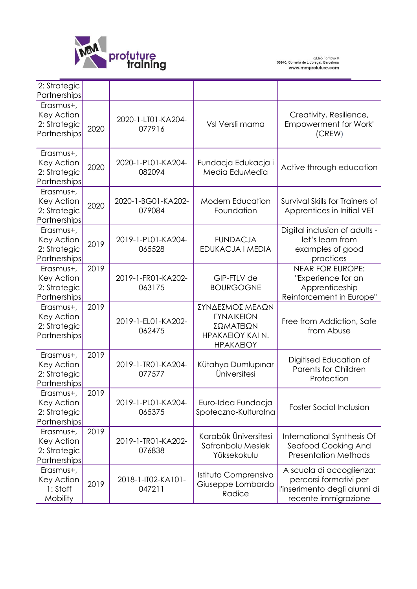

c/Lleó Fontova 6<br>08940, Cornellà de Llobregat, Barcelona<br>**www.mmprofuture.com** 

| 2: Strategic<br>Partnerships                                   |      |                              |                                                                             |                                                                                                             |
|----------------------------------------------------------------|------|------------------------------|-----------------------------------------------------------------------------|-------------------------------------------------------------------------------------------------------------|
| Erasmus+,<br>Key Action<br>2: Strategic<br>Partnerships        | 2020 | 2020-1-LT01-KA204-<br>077916 | Vsl Versli mama                                                             | Creativity, Resilience,<br><b>Empowerment for Work'</b><br>(CREW)                                           |
| Erasmus+,<br>Key Action<br>2: Strategic<br>Partnerships        | 2020 | 2020-1-PL01-KA204-<br>082094 | Fundacja Edukacja i<br>Media EduMedia                                       | Active through education                                                                                    |
| Erasmus+,<br>Key Action<br>2: Strategic<br>Partnerships        | 2020 | 2020-1-BG01-KA202-<br>079084 | <b>Modern Education</b><br>Foundation                                       | Survival Skills for Trainers of<br>Apprentices in Initial VET                                               |
| Erasmus+,<br>Key Action<br>2: Strategic<br><b>Partnerships</b> | 2019 | 2019-1-PL01-KA204-<br>065528 | <b>FUNDACJA</b><br>EDUKACJA I MEDIA                                         | Digital inclusion of adults -<br>let's learn from<br>examples of good<br>practices                          |
| Erasmus+,<br>Key Action<br>2: Strategic<br>Partnerships        | 2019 | 2019-1-FR01-KA202-<br>063175 | GIP-FTLV de<br><b>BOURGOGNE</b>                                             | <b>NEAR FOR EUROPE:</b><br>"Experience for an<br>Apprenticeship<br>Reinforcement in Europe"                 |
| Erasmus+,<br>Key Action<br>2: Strategic<br>Partnerships        | 2019 | 2019-1-EL01-KA202-<br>062475 | ΣΥΝΔΕΣΜΟΣ ΜΕΛΩΝ<br>ΓΥΝΑΙΚΕΙΩΝ<br>ΣΩΜΑΤΕΙΩΝ<br>HPAKAEIOY KAI N.<br>ΗΡΑΚΛΕΙΟΥ | Free from Addiction, Safe<br>from Abuse                                                                     |
| Erasmus+,<br>Key Action<br>2: Strategic<br>Partnerships        | 2019 | 2019-1-TR01-KA204-<br>077577 | Kütahya Dumlupınar<br>Üniversitesi                                          | Digitised Education of<br><b>Parents for Children</b><br>Protection                                         |
| Erasmus+<br>Key Action<br>2: Strategic<br>Partnerships         | 2019 | 2019-1-PL01-KA204-<br>065375 | Euro-Idea Fundacja<br>Społeczno-Kulturalna                                  | <b>Foster Social Inclusion</b>                                                                              |
| Erasmus+,<br>Key Action<br>2: Strategic<br>Partnerships        | 2019 | 2019-1-TR01-KA202-<br>076838 | Karabük Üniversitesi<br>Safranbolu Meslek<br>Yüksekokulu                    | International Synthesis Of<br>Seafood Cooking And<br><b>Presentation Methods</b>                            |
| Erasmus+,<br>Key Action<br>1: Staff<br>Mobility                | 2019 | 2018-1-IT02-KA101-<br>047211 | Istituto Comprensivo<br>Giuseppe Lombardo<br>Radice                         | A scuola di accoglienza:<br>percorsi formativi per<br>l'inserimento degli alunni di<br>recente immigrazione |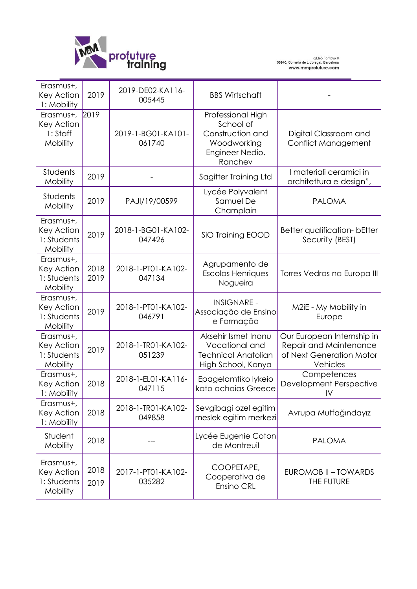

| Erasmus+,<br>Key Action<br>1: Mobility                    | 2019         | 2019-DE02-KA116-<br>005445   | <b>BBS Wirtschaft</b>                                                                           |                                                                                              |
|-----------------------------------------------------------|--------------|------------------------------|-------------------------------------------------------------------------------------------------|----------------------------------------------------------------------------------------------|
| Erasmus+, 2019<br>Key Action<br>1: Staff<br>Mobility      |              | 2019-1-BG01-KA101-<br>061740 | Professional High<br>School of<br>Construction and<br>Woodworking<br>Engineer Nedio.<br>Ranchev | Digital Classroom and<br><b>Conflict Management</b>                                          |
| Students<br>Mobility                                      | 2019         |                              | Sagitter Training Ltd                                                                           | I materiali ceramici in<br>architettura e design",                                           |
| Students<br>Mobility                                      | 2019         | PAJI/19/00599                | Lycée Polyvalent<br>Samuel De<br>Champlain                                                      | <b>PALOMA</b>                                                                                |
| Erasmus+,<br>Key Action<br>1: Students<br><b>Mobility</b> | 2019         | 2018-1-BG01-KA102-<br>047426 | SiO Training EOOD                                                                               | Better qualification- bEtter<br>SecuriTy (BEST)                                              |
| Erasmus+,<br>Key Action<br>1: Students<br>Mobility        | 2018<br>2019 | 2018-1-PT01-KA102-<br>047134 | Agrupamento de<br><b>Escolas Henriques</b><br>Nogueira                                          | Torres Vedras na Europa III                                                                  |
| Erasmus+,<br>Key Action<br>1: Students<br>Mobility        | 2019         | 2018-1-PT01-KA102-<br>046791 | <b>INSIGNARE -</b><br>Associação de Ensino<br>e Formação                                        | M2iE - My Mobility in<br>Europe                                                              |
| Erasmus+,<br>Key Action<br>1: Students<br>Mobility        | 2019         | 2018-1-TR01-KA102-<br>051239 | Aksehir Ismet Inonu<br>Vocational and<br><b>Technical Anatolian</b><br>High School, Konya       | Our European Internship in<br>Repair and Maintenance<br>of Next Generation Motor<br>Vehicles |
| Erasmus+,<br><b>Key Action</b><br>1: Mobility             | 2018         | 2018-1-EL01-KA116-<br>047115 | Epagelamtiko lykeio<br>kato achaias Greece                                                      | Competences<br><b>Development Perspective</b><br>$\mathsf{IV}$                               |
| Erasmus+,<br>Key Action<br>1: Mobility                    | 2018         | 2018-1-TRO1-KA102-<br>049858 | Sevgibagi ozel egitim<br>meslek egitim merkezi                                                  | Avrupa Mutfağındayız                                                                         |
| Student<br>Mobility                                       | 2018         |                              | Lycée Eugenie Coton<br>de Montreuil                                                             | <b>PALOMA</b>                                                                                |
| Erasmus+,<br>Key Action<br>1: Students<br>Mobility        | 2018<br>2019 | 2017-1-PT01-KA102-<br>035282 | COOPETAPE,<br>Cooperativa de<br>Ensino CRL                                                      | EUROMOB II - TOWARDS<br>THE FUTURE                                                           |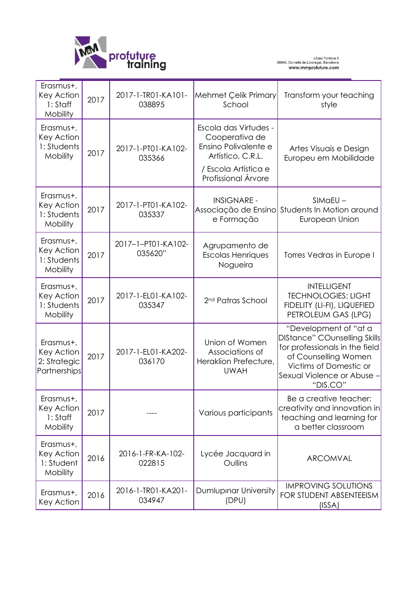

| Erasmus+,<br>Key Action<br>1: Staff<br>Mobility           | 2017 | 2017-1-TR01-KA101-<br>038895  | Mehmet Çelik Primary<br>School                                                                                                      | Transform your teaching<br>style                                                                                                                                                           |
|-----------------------------------------------------------|------|-------------------------------|-------------------------------------------------------------------------------------------------------------------------------------|--------------------------------------------------------------------------------------------------------------------------------------------------------------------------------------------|
| Erasmus+,<br>Key Action<br>1: Students<br>Mobility        | 2017 | 2017-1-PT01-KA102-<br>035366  | Escola das Virtudes -<br>Cooperativa de<br>Ensino Polivalente e<br>Artístico, C.R.L.<br>/ Escola Artística e<br>Profissional Árvore | Artes Visuais e Design<br>Europeu em Mobilidade                                                                                                                                            |
| Erasmus+,<br>Key Action<br>1: Students<br>Mobility        | 2017 | 2017-1-PT01-KA102-<br>035337  | <b>INSIGNARE -</b><br>Associação de Ensino<br>e Formação                                                                            | $SIMaEU -$<br>Students In Motion around<br>European Union                                                                                                                                  |
| Erasmus+,<br>Key Action<br>1: Students<br><b>Mobility</b> | 2017 | 2017-1-PT01-KA102-<br>035620" | Agrupamento de<br><b>Escolas Henriques</b><br>Nogueira                                                                              | Torres Vedras in Europe I                                                                                                                                                                  |
| Erasmus+,<br>Key Action<br>1: Students<br>Mobility        | 2017 | 2017-1-EL01-KA102-<br>035347  | 2 <sup>nd</sup> Patras School                                                                                                       | <b>INTELLIGENT</b><br><b>TECHNOLOGIES: LIGHT</b><br>FIDELITY (LI-FI), LIQUEFIED<br>PETROLEUM GAS (LPG)                                                                                     |
| Erasmus+,<br>Key Action<br>2: Strategic<br>Partnerships   | 2017 | 2017-1-EL01-KA202-<br>036170  | Union of Women<br>Associations of<br>Heraklion Prefecture,<br><b>UWAH</b>                                                           | "Development of "at a<br><b>DIStance" COunselling Skills</b><br>for professionals in the field<br>of Counselling Women<br>Victims of Domestic or<br>Sexual Violence or Abuse -<br>"DIS.CO" |
| Erasmus+,<br>Key Action<br>1: Staff<br>Mobility           | 2017 |                               | Various participants                                                                                                                | Be a creative teacher:<br>creativity and innovation in<br>teaching and learning for<br>a better classroom                                                                                  |
| Erasmus+,<br>Key Action<br>1: Student<br>Mobility         | 2016 | 2016-1-FR-KA-102-<br>022815   | Lycée Jacquard in<br>Oullins                                                                                                        | ARCOMVAL                                                                                                                                                                                   |
| Erasmus+,<br>Key Action                                   | 2016 | 2016-1-TR01-KA201-<br>034947  | Dumlupinar University<br>(DPU)                                                                                                      | <b>IMPROVING SOLUTIONS</b><br>FOR STUDENT ABSENTEEISM<br>(ISSA)                                                                                                                            |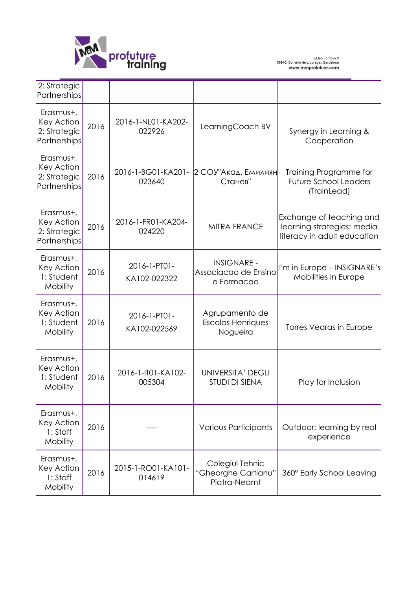

| 2: Strategic<br>Partnerships                                   |      |                              |                                                          |                                                                                       |
|----------------------------------------------------------------|------|------------------------------|----------------------------------------------------------|---------------------------------------------------------------------------------------|
| Erasmus+,<br>Key Action<br>2: Strategic<br><b>Partnerships</b> | 2016 | 2016-1-NL01-KA202-<br>022926 | LearningCoach BV                                         | Synergy in Learning &<br>Cooperation                                                  |
| Erasmus+,<br>Key Action<br>2: Strategic<br>Partnerships        | 2016 | 2016-1-BG01-KA201-<br>023640 | 2 СОУ"Акад. Емилиян<br>Станев"                           | Training Programme for<br><b>Future School Leaders</b><br>(TrainLead)                 |
| Erasmus+,<br>Key Action<br>2: Strategic<br>Partnerships        | 2016 | 2016-1-FR01-KA204-<br>024220 | <b>MITRA FRANCE</b>                                      | Exchange of teaching and<br>learning strategies: media<br>literacy in adult education |
| Erasmus+,<br>Key Action<br>1: Student<br>Mobility              | 2016 | 2016-1-PT01-<br>KA102-022322 | <b>INSIGNARE -</b><br>Associacao de Ensino<br>e Formacao | I'm in Europe – INSIGNARE's<br>Mobilities in Europe                                   |
| Erasmus+,<br>Key Action<br>1: Student<br>Mobility              | 2016 | 2016-1-PT01-<br>KA102-022569 | Agrupamento de<br><b>Escolas Henriques</b><br>Nogueira   | Torres Vedras in Europe                                                               |
| Erasmus+,<br>Key Action<br>1: Student<br>Mobility              | 2016 | 2016-1-IT01-KA102-<br>005304 | <b>UNIVERSITA' DEGLI</b><br>STUDI DI SIENA               | Play for Inclusion                                                                    |
| Erasmus+,<br>Key Action<br>1: Staff<br>Mobility                | 2016 |                              | Various Participants                                     | Outdoor: learning by real<br>experience                                               |
| Erasmus+,<br>Key Action<br>1: Staff<br>Mobility                | 2016 | 2015-1-RO01-KA101-<br>014619 | Colegiul Tehnic<br>"Gheorghe Cartianu"<br>Piatra-Neamt   | 360° Early School Leaving                                                             |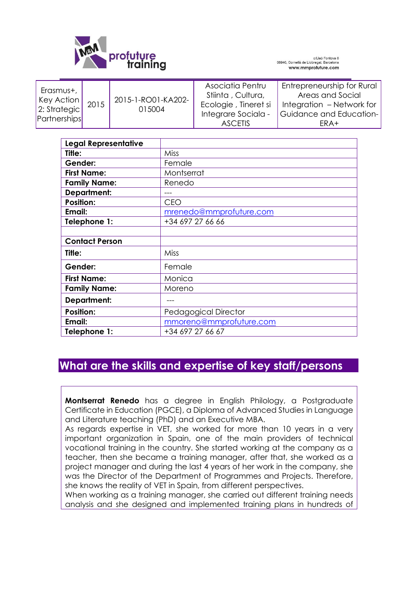

| <b>Legal Representative</b> |                         |
|-----------------------------|-------------------------|
| Title:                      | <b>Miss</b>             |
| Gender:                     | Female                  |
| <b>First Name:</b>          | Montserrat              |
| <b>Family Name:</b>         | Renedo                  |
| <b>Department:</b>          |                         |
| <b>Position:</b>            | <b>CEO</b>              |
| Email:                      | mrenedo@mmprofuture.com |
| Telephone 1:                | +34 697 27 66 66        |
|                             |                         |
| <b>Contact Person</b>       |                         |
| Title:                      | Miss                    |
| Gender:                     | Female                  |
| <b>First Name:</b>          | Monica                  |
| <b>Family Name:</b>         | Moreno                  |
| <b>Department:</b>          |                         |
| <b>Position:</b>            | Pedagogical Director    |
| Email:                      | mmoreno@mmprofuture.com |
| Telephone 1:                | +34 697 27 66 67        |

## **What are the skills and expertise of key staff/persons**

**Montserrat Renedo** has a degree in English Philology, a Postgraduate Certificate in Education (PGCE), a Diploma of Advanced Studies in Language and Literature teaching (PhD) and an Executive MBA.

As regards expertise in VET, she worked for more than 10 years in a very important organization in Spain, one of the main providers of technical vocational training in the country. She started working at the company as a teacher, then she became a training manager, after that, she worked as a project manager and during the last 4 years of her work in the company, she was the Director of the Department of Programmes and Projects. Therefore, she knows the reality of VET in Spain, from different perspectives.

When working as a training manager, she carried out different training needs analysis and she designed and implemented training plans in hundreds of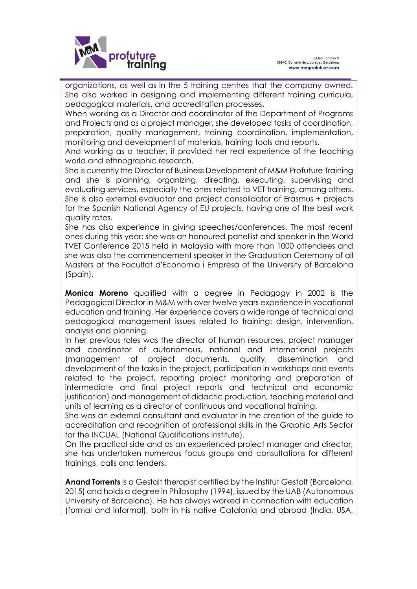

organizations, as well as in the 5 training centres that the company owned. She also worked in designing and implementing different training curricula, pedagogical materials, and accreditation processes.

When working as a Director and coordinator of the Department of Programs and Projects and as a project manager, she developed tasks of coordination, preparation, quality management, training coordination, implementation, monitoring and development of materials, training tools and reports.

And working as a teacher, it provided her real experience of the teaching world and ethnographic research.

She is currently the Director of Business Development of M&M Profuture Training and she is planning, organizing, directing, executing, supervising and evaluating services, especially the ones related to VET training, among others. She is also external evaluator and project consolidator of Erasmus + projects for the Spanish National Agency of EU projects, having one of the best work quality rates.

She has also experience in giving speeches/conferences. The most recent ones during this year: she was an honoured panellist and speaker in the World TVET Conference 2015 held in Malaysia with more than 1000 attendees and she was also the commencement speaker in the Graduation Ceremony of all Masters at the Facultat d'Economia i Empresa of the University of Barcelona (Spain).

**Monica Moreno** qualified with a degree in Pedagogy in 2002 is the Pedagogical Director in M&M with over twelve years experience in vocational education and training. Her experience covers a wide range of technical and pedagogical management issues related to training: design, intervention, analysis and planning.

In her previous roles was the director of human resources, project manager and coordinator of autonomous, national and international projects (management of project documents, quality, dissemination and development of the tasks in the project, participation in workshops and events related to the project, reporting project monitoring and preparation of intermediate and final project reports and technical and economic justification) and management of didactic production, teaching material and units of learning as a director of continuous and vocational training.

She was an external consultant and evaluator in the creation of the guide to accreditation and recognition of professional skills in the Graphic Arts Sector for the INCUAL (National Qualifications Institute).

On the practical side and as an experienced project manager and director, she has undertaken numerous focus groups and consultations for different trainings, calls and tenders.

**Anand Torrents** is a Gestalt therapist certified by the Institut Gestalt (Barcelona, 2015) and holds a degree in Philosophy (1994), issued by the UAB (Autonomous University of Barcelona). He has always worked in connection with education (formal and informal), both in his native Catalonia and abroad (India, USA,